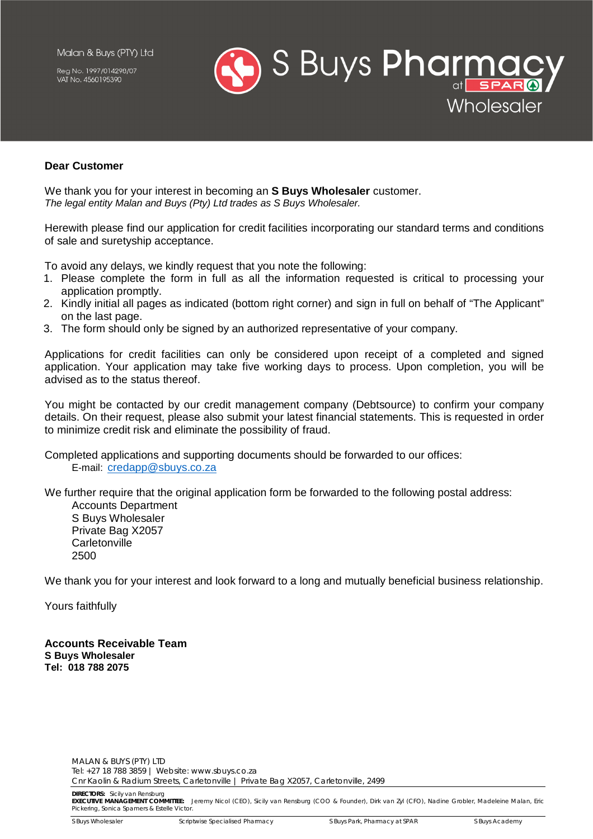Reg No. 1997/014298/07 VAT No. 4560195390

# S Buys Pharmac Wholesaler

# **Dear Customer**

We thank you for your interest in becoming an **S Buys Wholesaler** customer. *The legal entity Malan and Buys (Pty) Ltd trades as S Buys Wholesaler.*

Herewith please find our application for credit facilities incorporating our standard terms and conditions of sale and suretyship acceptance.

To avoid any delays, we kindly request that you note the following:

- 1. Please complete the form in full as all the information requested is critical to processing your application promptly.
- 2. Kindly initial all pages as indicated (bottom right corner) and sign in full on behalf of "The Applicant" on the last page.
- 3. The form should only be signed by an authorized representative of your company.

Applications for credit facilities can only be considered upon receipt of a completed and signed application. Your application may take five working days to process. Upon completion, you will be advised as to the status thereof.

You might be contacted by our credit management company (Debtsource) to confirm your company details. On their request, please also submit your latest financial statements. This is requested in order to minimize credit risk and eliminate the possibility of fraud.

Completed applications and supporting documents should be forwarded to our offices: E-mail: [credapp@sbuys.co.za](mailto:credapp@sbuys.co.za)

We further require that the original application form be forwarded to the following postal address:

Accounts Department S Buys Wholesaler Private Bag X2057 **Carletonville** 2500

We thank you for your interest and look forward to a long and mutually beneficial business relationship.

Yours faithfully

**Accounts Receivable Team S Buys Wholesaler Tel: 018 788 2075** 

**DIRECTORS:** Sicily van Rensburg

**EXECUTIVE MANAGEMENT COMMITTEE:** Jeremy Nicol (CEO), Sicily van Rensburg (COO & Founder), Dirk van Zyl (CFO), Nadine Grobler, Madeleine Malan, Eric Pickering, Sonica Spamers & Estelle Victor.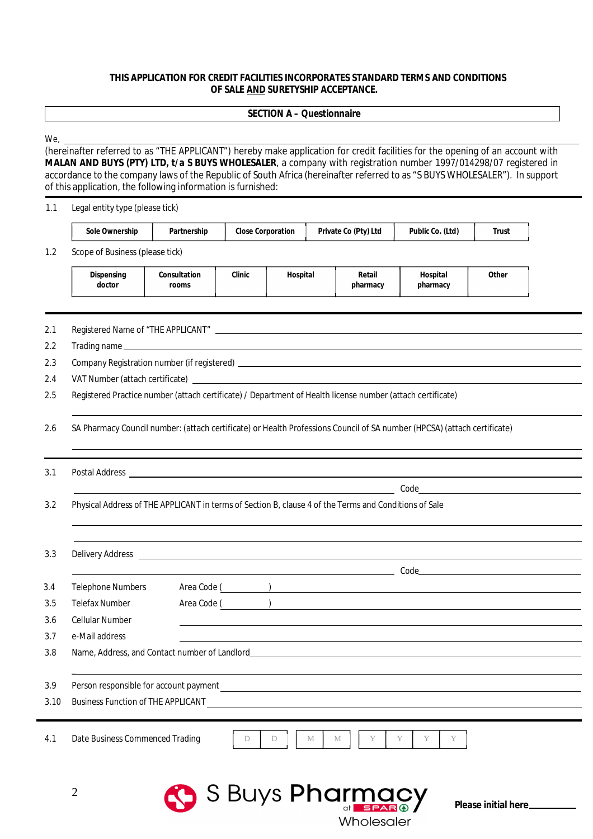# **THIS APPLICATION FOR CREDIT FACILITIES INCORPORATES STANDARD TERMS AND CONDITIONS OF SALE AND SURETYSHIP ACCEPTANCE.**

# **SECTION A – Questionnaire**

We,

(hereinafter referred to as "THE APPLICANT") hereby make application for credit facilities for the opening of an account with **MALAN AND BUYS (PTY) LTD, t/a S BUYS WHOLESALER**, a company with registration number 1997/014298/07 registered in accordance to the company laws of the Republic of South Africa (hereinafter referred to as "S BUYS WHOLESALER"). In support of this application, the following information is furnished:

1.1 Legal entity type (please tick)

|      | <b>Sole Ownership</b>                                                                                                    | Partnership                                                 | <b>Close Corporation</b> |          |   | Private Co (Pty) Ltd | Public Co. (Ltd)                                                                                                                                                                                                               | <b>Trust</b> |  |
|------|--------------------------------------------------------------------------------------------------------------------------|-------------------------------------------------------------|--------------------------|----------|---|----------------------|--------------------------------------------------------------------------------------------------------------------------------------------------------------------------------------------------------------------------------|--------------|--|
| 1.2  | Scope of Business (please tick)                                                                                          |                                                             |                          |          |   |                      |                                                                                                                                                                                                                                |              |  |
|      | <b>Dispensing</b><br>doctor                                                                                              | <b>Consultation</b><br>rooms                                | <b>Clinic</b>            | Hospital |   | Retail<br>pharmacy   | Hospital<br>pharmacy                                                                                                                                                                                                           | <b>Other</b> |  |
| 2.1  |                                                                                                                          |                                                             |                          |          |   |                      |                                                                                                                                                                                                                                |              |  |
| 2.2  |                                                                                                                          |                                                             |                          |          |   |                      |                                                                                                                                                                                                                                |              |  |
| 2.3  |                                                                                                                          |                                                             |                          |          |   |                      |                                                                                                                                                                                                                                |              |  |
| 2.4  |                                                                                                                          |                                                             |                          |          |   |                      |                                                                                                                                                                                                                                |              |  |
| 2.5  | Registered Practice number (attach certificate) / Department of Health license number (attach certificate)               |                                                             |                          |          |   |                      |                                                                                                                                                                                                                                |              |  |
|      |                                                                                                                          |                                                             |                          |          |   |                      |                                                                                                                                                                                                                                |              |  |
| 2.6  | SA Pharmacy Council number: (attach certificate) or Health Professions Council of SA number (HPCSA) (attach certificate) |                                                             |                          |          |   |                      |                                                                                                                                                                                                                                |              |  |
|      |                                                                                                                          |                                                             |                          |          |   |                      |                                                                                                                                                                                                                                |              |  |
|      |                                                                                                                          |                                                             |                          |          |   |                      |                                                                                                                                                                                                                                |              |  |
| 3.1  |                                                                                                                          |                                                             |                          |          |   |                      |                                                                                                                                                                                                                                |              |  |
|      |                                                                                                                          |                                                             |                          |          |   |                      | Code                                                                                                                                                                                                                           |              |  |
| 3.2  | Physical Address of THE APPLICANT in terms of Section B, clause 4 of the Terms and Conditions of Sale                    |                                                             |                          |          |   |                      |                                                                                                                                                                                                                                |              |  |
|      |                                                                                                                          |                                                             |                          |          |   |                      |                                                                                                                                                                                                                                |              |  |
|      |                                                                                                                          |                                                             |                          |          |   |                      |                                                                                                                                                                                                                                |              |  |
| 3.3  | <b>Delivery Address</b>                                                                                                  | <u> 1990 - Johann Stoff, amerikansk politiker (d. 1980)</u> |                          |          |   |                      |                                                                                                                                                                                                                                |              |  |
|      |                                                                                                                          |                                                             |                          |          |   |                      | and the contract of the contract of the contract of the contract of the contract of the contract of the contract of the contract of the contract of the contract of the contract of the contract of the contract of the contra |              |  |
| 3.4  | <b>Telephone Numbers</b>                                                                                                 |                                                             |                          |          |   |                      | Area Code ( ) and a set of the contract of the contract of the contract of the contract of the contract of the contract of the contract of the contract of the contract of the contract of the contract of the contract of the |              |  |
| 3.5  | <b>Telefax Number</b>                                                                                                    |                                                             |                          |          |   |                      |                                                                                                                                                                                                                                |              |  |
| 3.6  | Cellular Number                                                                                                          |                                                             |                          |          |   |                      |                                                                                                                                                                                                                                |              |  |
| 3.7  | e-Mail address                                                                                                           |                                                             |                          |          |   |                      |                                                                                                                                                                                                                                |              |  |
| 3.8  | Name, Address, and Contact number of Landlord                                                                            |                                                             |                          |          |   |                      |                                                                                                                                                                                                                                |              |  |
|      |                                                                                                                          |                                                             |                          |          |   |                      |                                                                                                                                                                                                                                |              |  |
| 3.9  | Person responsible for account payment                                                                                   |                                                             |                          |          |   |                      |                                                                                                                                                                                                                                |              |  |
| 3.10 | <b>Business Function of THE APPLICANT</b>                                                                                |                                                             |                          |          |   |                      |                                                                                                                                                                                                                                |              |  |
|      |                                                                                                                          |                                                             |                          |          |   |                      |                                                                                                                                                                                                                                |              |  |
| 4.1  | Date Business Commenced Trading                                                                                          |                                                             | D                        | D        | М | М<br>Y               | Y<br>Y<br>Y                                                                                                                                                                                                                    |              |  |

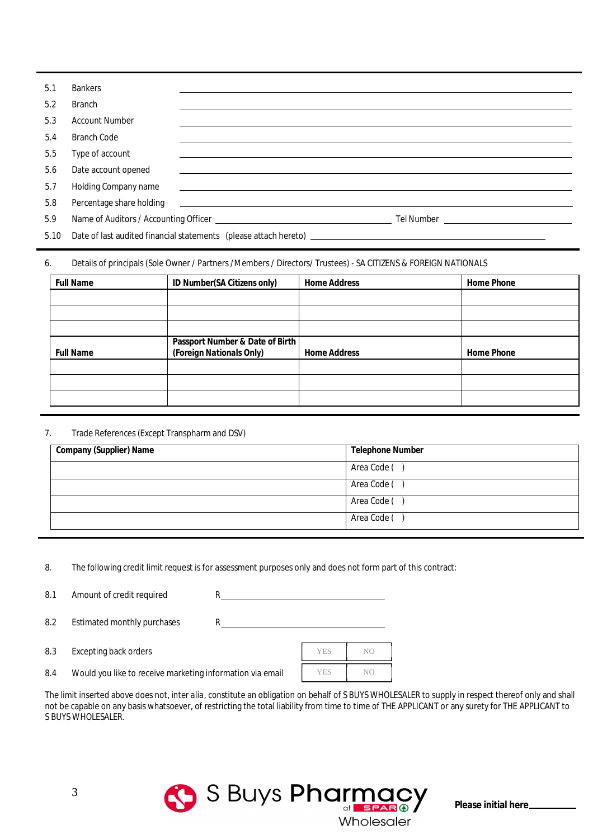| 5.1  | <b>Bankers</b>           |                                                                                                                        |                                                                                                                                                                                                                                     |
|------|--------------------------|------------------------------------------------------------------------------------------------------------------------|-------------------------------------------------------------------------------------------------------------------------------------------------------------------------------------------------------------------------------------|
| 5.2  | <b>Branch</b>            |                                                                                                                        |                                                                                                                                                                                                                                     |
| 5.3  | <b>Account Number</b>    |                                                                                                                        |                                                                                                                                                                                                                                     |
| 5.4  | Branch Code              |                                                                                                                        |                                                                                                                                                                                                                                     |
| 5.5  | Type of account          |                                                                                                                        |                                                                                                                                                                                                                                     |
| 5.6  | Date account opened      |                                                                                                                        |                                                                                                                                                                                                                                     |
| 5.7  | Holding Company name     | <u> 1989 - Johann Stoff, deutscher Stoffen und der Stoffen und der Stoffen und der Stoffen und der Stoffen und der</u> |                                                                                                                                                                                                                                     |
| 5.8  | Percentage share holding | <u> 1989 - John Stein, Amerikaansk politiker (</u>                                                                     |                                                                                                                                                                                                                                     |
| 5.9  |                          |                                                                                                                        | Tel Number <u>and the second service</u> and the service of the service of the service of the service of the service of the service of the service of the service of the service of the service of the service of the service of th |
| 5.10 |                          | Date of last audited financial statements (please attach hereto) _______________                                       |                                                                                                                                                                                                                                     |

6. Details of principals (Sole Owner / Partners /Members / Directors/ Trustees) - SA CITIZENS & FOREIGN NATIONALS

| <b>Full Name</b> | ID Number(SA Citizens only)                                 | <b>Home Address</b> | <b>Home Phone</b> |
|------------------|-------------------------------------------------------------|---------------------|-------------------|
|                  |                                                             |                     |                   |
|                  |                                                             |                     |                   |
|                  |                                                             |                     |                   |
| <b>Full Name</b> | Passport Number & Date of Birth<br>(Foreign Nationals Only) | <b>Home Address</b> | <b>Home Phone</b> |
|                  |                                                             |                     |                   |
|                  |                                                             |                     |                   |
|                  |                                                             |                     |                   |

# 7. Trade References (Except Transpharm and DSV)

| <b>Company (Supplier) Name</b> | <b>Telephone Number</b> |
|--------------------------------|-------------------------|
|                                | Area Code (             |
|                                | Area Code (             |
|                                | Area Code (             |
|                                | Area Code (             |

8. The following credit limit request is for assessment purposes only and does not form part of this contract:

8.1 Amount of credit required R

8.2 Estimated monthly purchases R

8.3 Excepting back orders

| <b>YES</b> | N() |
|------------|-----|
| <b>YES</b> | N() |

8.4 Would you like to receive marketing information via email

The limit inserted above does not, *inter alia*, constitute an obligation on behalf of S BUYS WHOLESALER to supply in respect thereof only and shall not be capable on any basis whatsoever, of restricting the total liability from time to time of THE APPLICANT or any surety for THE APPLICANT to S BUYS WHOLESALER.

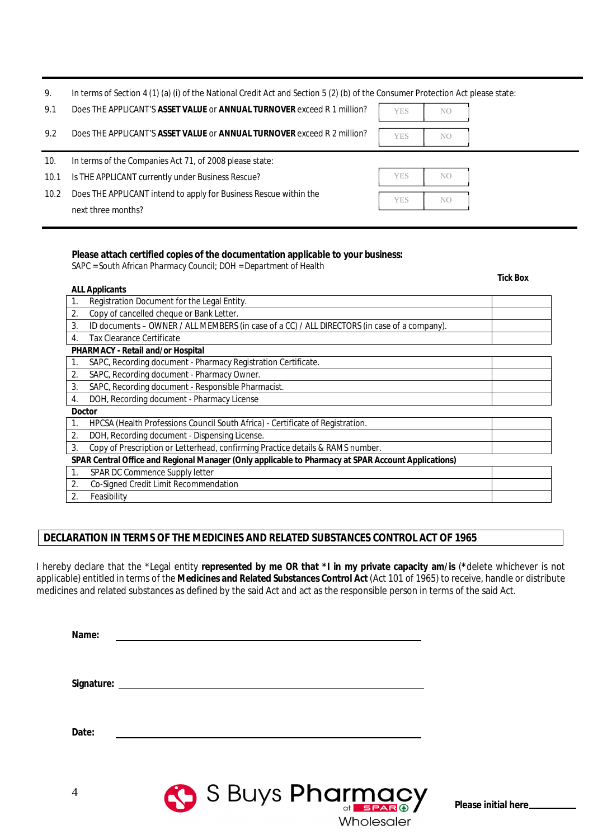| 9.   | In terms of Section 4 (1) (a) (i) of the National Credit Act and Section 5 (2) (b) of the Consumer Protection Act please state: |            |     |  |
|------|---------------------------------------------------------------------------------------------------------------------------------|------------|-----|--|
| 9.1  | Does THE APPLICANT'S ASSET VALUE or ANNUAL TURNOVER exceed R 1 million?                                                         | <b>YES</b> | NO. |  |
| 9.2  | Does THE APPLICANT'S ASSET VALUE or ANNUAL TURNOVER exceed R 2 million?                                                         | <b>YES</b> | NO. |  |
|      |                                                                                                                                 |            |     |  |
| 10.  | In terms of the Companies Act 71, of 2008 please state:                                                                         |            |     |  |
| 10.1 | Is THE APPLICANT currently under Business Rescue?                                                                               | <b>YES</b> | NO. |  |
| 10.2 | Does THE APPLICANT intend to apply for Business Rescue within the                                                               | <b>YES</b> | NO. |  |

# **Please attach certified copies of the documentation applicable to your business:**

*SAPC = South African Pharmacy Council; DOH = Department of Health*

|    |                                                                                                     | Tick Box |
|----|-----------------------------------------------------------------------------------------------------|----------|
|    | <b>ALL Applicants</b>                                                                               |          |
| 1. | Registration Document for the Legal Entity.                                                         |          |
| 2. | Copy of cancelled cheque or Bank Letter.                                                            |          |
| 3. | ID documents – OWNER / ALL MEMBERS (in case of a CC) / ALL DIRECTORS (in case of a company).        |          |
| 4. | Tax Clearance Certificate                                                                           |          |
|    | <b>PHARMACY - Retail and/or Hospital</b>                                                            |          |
| 1. | SAPC, Recording document - Pharmacy Registration Certificate.                                       |          |
| 2. | SAPC, Recording document - Pharmacy Owner.                                                          |          |
| 3. | SAPC, Recording document - Responsible Pharmacist.                                                  |          |
| 4. | DOH, Recording document - Pharmacy License                                                          |          |
|    | <b>Doctor</b>                                                                                       |          |
| 1. | HPCSA (Health Professions Council South Africa) - Certificate of Registration.                      |          |
| 2. | DOH, Recording document - Dispensing License.                                                       |          |
| 3. | Copy of Prescription or Letterhead, confirming Practice details & RAMS number.                      |          |
|    | SPAR Central Office and Regional Manager (Only applicable to Pharmacy at SPAR Account Applications) |          |
| 1. | SPAR DC Commence Supply letter                                                                      |          |
| 2. | Co-Signed Credit Limit Recommendation                                                               |          |
| 2. | Feasibility                                                                                         |          |
|    |                                                                                                     |          |

# **DECLARATION IN TERMS OF THE MEDICINES AND RELATED SUBSTANCES CONTROL ACT OF 1965**

I hereby declare that the \*Legal entity **represented by me OR that \*I in my private capacity am/is** (**\***delete whichever is not applicable) entitled in terms of the **Medicines and Related Substances Control Act** (Act 101 of 1965) to receive, handle or distribute medicines and related substances as defined by the said Act and act as the responsible person in terms of the said Act.

| Name:          |                          |
|----------------|--------------------------|
|                |                          |
| Date:          |                          |
| $\overline{4}$ | <b>6</b> S Buys Pharmacy |

**Please initial here\_** 

Wholesaler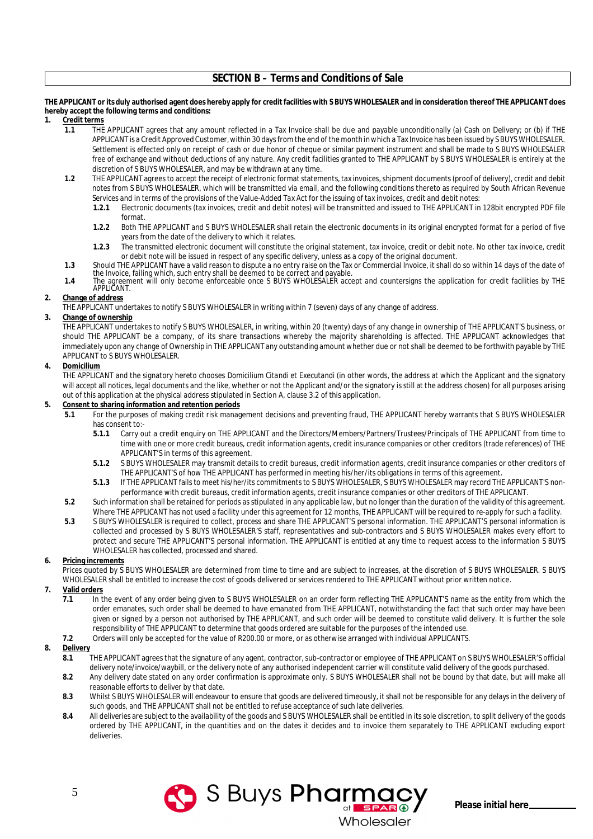## **THE APPLICANT or its duly authorised agent does hereby apply for credit facilities with S BUYS WHOLESALER and in consideration thereof THE APPLICANT does hereby accept the following terms and conditions:**

#### **1. Credit terms**

- **1.1** THE APPLICANT agrees that any amount reflected in a Tax Invoice shall be due and payable unconditionally (a) Cash on Delivery; or (b) if THE APPLICANT is a Credit Approved Customer, within 30 days from the end of the month in which a Tax Invoice has been issued by S BUYS WHOLESALER. Settlement is effected only on receipt of cash or due honor of cheque or similar payment instrument and shall be made to S BUYS WHOLESALER free of exchange and without deductions of any nature. Any credit facilities granted to THE APPLICANT by S BUYS WHOLESALER is entirely at the discretion of S BUYS WHOLESALER, and may be withdrawn at any time.
- **1.2** THE APPLICANT agrees to accept the receipt of electronic format statements, tax invoices, shipment documents (proof of delivery), credit and debit notes from S BUYS WHOLESALER, which will be transmitted via email, and the following conditions thereto as required by South African Revenue Services and in terms of the provisions of the Value-Added Tax Act for the issuing of tax invoices, credit and debit notes:
	- **1.2.1** Electronic documents (tax invoices, credit and debit notes) will be transmitted and issued to THE APPLICANT in 128bit encrypted PDF file format.
	- **1.2.2** Both THE APPLICANT and S BUYS WHOLESALER shall retain the electronic documents in its original encrypted format for a period of five years from the date of the delivery to which it relates.
	- **1.2.3** The transmitted electronic document will constitute the original statement, tax invoice, credit or debit note. No other tax invoice, credit or debit note will be issued in respect of any specific delivery, unless as a copy of the original document.
- **1.3** Should THE APPLICANT have a valid reason to dispute a *no entry* raise on the Tax or Commercial Invoice, it shall do so within 14 days of the date of the Invoice, failing which, such entry shall be deemed to be correct and payable.
- **1.4** The agreement will only become enforceable once S BUYS WHOLESALER accept and countersigns the application for credit facilities by THE APPLICANT.

## **2. Change of address**

THE APPLICANT undertakes to notify S BUYS WHOLESALER in writing within 7 (seven) days of any change of address.

## **3. Change of ownership**

THE APPLICANT undertakes to notify S BUYS WHOLESALER, in writing, within 20 (twenty) days of any change in ownership of THE APPLICANT'S business, or should THE APPLICANT be a company, of its share transactions whereby the majority shareholding is affected. THE APPLICANT acknowledges that immediately upon any change of Ownership in THE APPLICANT any outstanding amount whether due or not shall be deemed to be forthwith payable by THE APPLICANT to S BUYS WHOLESALER.

## **4. Domicilium**

THE APPLICANT and the signatory hereto chooses *Domicilium Citandi et Executandi* (in other words, the address at which the Applicant and the signatory will accept all notices, legal documents and the like, whether or not the Applicant and/or the signatory is still at the address chosen) for all purposes arising out of this application at the physical address stipulated in Section A, clause 3.2 of this application.

#### **5. Consent to sharing information and retention periods**

- **5.1** For the purposes of making credit risk management decisions and preventing fraud, THE APPLICANT hereby warrants that S BUYS WHOLESALER has consent to:-
	- **5.1.1** Carry out a credit enquiry on THE APPLICANT and the Directors/Members/Partners/Trustees/Principals of THE APPLICANT from time to time with one or more credit bureaus, credit information agents, credit insurance companies or other creditors (trade references) of THE APPLICANT'S in terms of this agreement.
	- **5.1.2** S BUYS WHOLESALER may transmit details to credit bureaus, credit information agents, credit insurance companies or other creditors of THE APPLICANT'S of how THE APPLICANT has performed in meeting his/her/its obligations in terms of this agreement.
	- **5.1.3** If THE APPLICANT fails to meet his/her/its commitments to S BUYS WHOLESALER, S BUYS WHOLESALER may record THE APPLICANT'S nonperformance with credit bureaus, credit information agents, credit insurance companies or other creditors of THE APPLICANT.
- **5.2** Such information shall be retained for periods as stipulated in any applicable law, but no longer than the duration of the validity of this agreement. Where THE APPLICANT has not used a facility under this agreement for 12 months, THE APPLICANT will be required to re-apply for such a facility.
- **5.3** S BUYS WHOLESALER is required to collect, process and share THE APPLICANT'S personal information. THE APPLICANT'S personal information is collected and processed by S BUYS WHOLESALER'S staff, representatives and sub-contractors and S BUYS WHOLESALER makes every effort to protect and secure THE APPLICANT'S personal information. THE APPLICANT is entitled at any time to request access to the information S BUYS WHOLESALER has collected, processed and shared.

# **6. Pricing increments**

Prices quoted by S BUYS WHOLESALER are determined from time to time and are subject to increases, at the discretion of S BUYS WHOLESALER. S BUYS WHOLESALER shall be entitled to increase the cost of goods delivered or services rendered to THE APPLICANT without prior written notice.

#### **7. Valid orders**

**7.1** In the event of any order being given to S BUYS WHOLESALER on an order form reflecting THE APPLICANT'S name as the entity from which the order emanates, such order shall be deemed to have emanated from THE APPLICANT, notwithstanding the fact that such order may have been given or signed by a person not authorised by THE APPLICANT, and such order will be deemed to constitute valid delivery. It is further the sole responsibility of THE APPLICANT to determine that goods ordered are suitable for the purposes of the intended use.

**7.2** Orders will only be accepted for the value of R200.00 or more, or as otherwise arranged with individual APPLICANTS.

#### **8. Delivery**

- **8.1** THE APPLICANT agrees that the signature of any agent, contractor, sub-contractor or employee of THE APPLICANT on S BUYS WHOLESALER'S official delivery note/invoice/waybill, or the delivery note of any authorised independent carrier will constitute valid delivery of the goods purchased.
- **8.2** Any delivery date stated on any order confirmation is approximate only. S BUYS WHOLESALER shall not be bound by that date, but will make all reasonable efforts to deliver by that date.
- **8.3** Whilst S BUYS WHOLESALER will endeavour to ensure that goods are delivered timeously, it shall not be responsible for any delays in the delivery of such goods, and THE APPLICANT shall not be entitled to refuse acceptance of such late deliveries.
- **8.4** All deliveries are subject to the availability of the goods and S BUYS WHOLESALER shall be entitled in its sole discretion, to split delivery of the goods ordered by THE APPLICANT, in the quantities and on the dates it decides and to invoice them separately to THE APPLICANT excluding export deliveries.

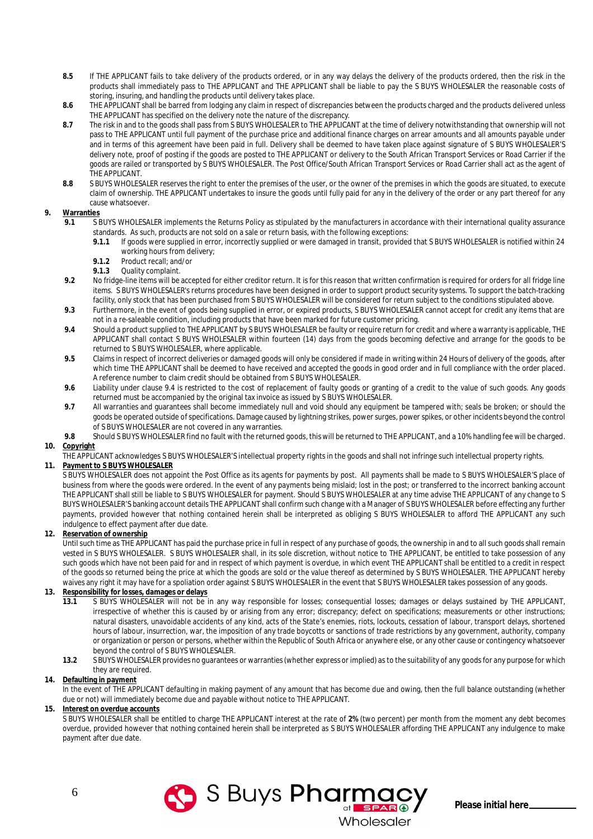- **8.5** If THE APPLICANT fails to take delivery of the products ordered, or in any way delays the delivery of the products ordered, then the risk in the products shall immediately pass to THE APPLICANT and THE APPLICANT shall be liable to pay the S BUYS WHOLESALER the reasonable costs of storing, insuring, and handling the products until delivery takes place.
- 8.6 THE APPLICANT shall be barred from lodging any claim in respect of discrepancies between the products charged and the products delivered unless THE APPLICANT has specified on the delivery note the nature of the discrepancy.
- 8.7 The risk in and to the goods shall pass from S BUYS WHOLESALER to THE APPLICANT at the time of delivery notwithstanding that ownership will not pass to THE APPLICANT until full payment of the purchase price and additional finance charges on arrear amounts and all amounts payable under and in terms of this agreement have been paid in full. Delivery shall be deemed to have taken place against signature of S BUYS WHOLESALER'S delivery note, proof of posting if the goods are posted to THE APPLICANT or delivery to the South African Transport Services or Road Carrier if the goods are railed or transported by S BUYS WHOLESALER. The Post Office/South African Transport Services or Road Carrier shall act as the agent of THE APPLICANT.
- **8.8** S BUYS WHOLESALER reserves the right to enter the premises of the user, or the owner of the premises in which the goods are situated, to execute claim of ownership. THE APPLICANT undertakes to insure the goods until fully paid for any in the delivery of the order or any part thereof for any cause whatsoever.

# **9. Warranties**

- **9.1** S BUYS WHOLESALER implements the Returns Policy as stipulated by the manufacturers in accordance with their international quality assurance standards. As such, products are not sold on a sale or return basis, with the following exceptions:
	- **9.1.1** If goods were supplied in error, incorrectly supplied or were damaged in transit, provided that S BUYS WHOLESALER is notified within 24 working hours from delivery;
	- **9.1.2** Product recall; and/or
	- **9.1.3** Quality complaint.
- **9.2** No fridge-line items will be accepted for either creditor return. It is for this reason that written confirmation is required for orders for all fridge line items. S BUYS WHOLESALER's returns procedures have been designed in order to support product security systems. To support the batch-tracking facility, only stock that has been purchased from S BUYS WHOLESALER will be considered for return subject to the conditions stipulated above.
- **9.3** Furthermore, in the event of goods being supplied in error, or expired products, S BUYS WHOLESALER cannot accept for credit any items that are not in a re-saleable condition, including products that have been marked for future customer pricing.
- **9.4** Should a product supplied to THE APPLICANT by S BUYS WHOLESALER be faulty or require return for credit and where a warranty is applicable, THE APPLICANT shall contact S BUYS WHOLESALER within fourteen (14) days from the goods becoming defective and arrange for the goods to be returned to S BUYS WHOLESALER, where applicable.
- **9.5** Claims in respect of incorrect deliveries or damaged goods will only be considered if made in writing within 24 Hours of delivery of the goods, after which time THE APPLICANT shall be deemed to have received and accepted the goods in good order and in full compliance with the order placed. A reference number to claim credit should be obtained from S BUYS WHOLESALER.
- **9.6** Liability under clause 9.4 is restricted to the cost of replacement of faulty goods or granting of a credit to the value of such goods. Any goods returned must be accompanied by the original tax invoice as issued by S BUYS WHOLESALER.
- **9.7** All warranties and guarantees shall become immediately null and void should any equipment be tampered with; seals be broken; or should the goods be operated outside of specifications. Damage caused by lightning strikes, power surges, power spikes, or other incidents beyond the control of S BUYS WHOLESALER are not covered in any warranties.
- **9.8** Should S BUYS WHOLESALER find no fault with the returned goods, this will be returned to THE APPLICANT, and a 10% handling fee will be charged.

# **10. Copyright**

THE APPLICANT acknowledges S BUYS WHOLESALER'S intellectual property rights in the goods and shall not infringe such intellectual property rights.

# **11. Payment to S BUYS WHOLESALER**

S BUYS WHOLESALER does not appoint the Post Office as its agents for payments by post. All payments shall be made to S BUYS WHOLESALER'S place of business from where the goods were ordered. In the event of any payments being mislaid; lost in the post; or transferred to the incorrect banking account THE APPLICANT shall still be liable to S BUYS WHOLESALER for payment. Should S BUYS WHOLESALER at any time advise THE APPLICANT of any change to S BUYS WHOLESALER'S banking account details THE APPLICANT shall confirm such change with a Manager of S BUYS WHOLESALER before effecting any further payments, provided however that nothing contained herein shall be interpreted as obliging S BUYS WHOLESALER to afford THE APPLICANT any such indulgence to effect payment after due date.

# **12. Reservation of ownership**

Until such time as THE APPLICANT has paid the purchase price in full in respect of any purchase of goods, the ownership in and to all such goods shall remain vested in S BUYS WHOLESALER. S BUYS WHOLESALER shall, in its sole discretion, without notice to THE APPLICANT, be entitled to take possession of any such goods which have not been paid for and in respect of which payment is overdue, in which event THE APPLICANT shall be entitled to a credit in respect of the goods so returned being the price at which the goods are sold or the value thereof as determined by S BUYS WHOLESALER. THE APPLICANT hereby waives any right it may have for a spoliation order against S BUYS WHOLESALER in the event that S BUYS WHOLESALER takes possession of any goods.

# **13. Responsibility for losses, damages or delays**

- **13.1** S BUYS WHOLESALER will not be in any way responsible for losses; consequential losses; damages or delays sustained by THE APPLICANT, irrespective of whether this is caused by or arising from any error; discrepancy; defect on specifications; measurements or other instructions; natural disasters, unavoidable accidents of any kind, acts of the State's enemies, riots, lockouts, cessation of labour, transport delays, shortened hours of labour, insurrection, war, the imposition of any trade boycotts or sanctions of trade restrictions by any government, authority, company or organization or person or persons, whether within the Republic of South Africa or anywhere else, or any other cause or contingency whatsoever beyond the control of S BUYS WHOLESALER.
- **13.2** S BUYS WHOLESALER provides no guarantees or warranties (whether express or implied) as to the suitability of any goods for any purpose for which they are required.

# **14. Defaulting in payment**

In the event of THE APPLICANT defaulting in making payment of any amount that has become due and owing, then the full balance outstanding (whether due or not) will immediately become due and payable without notice to THE APPLICANT.

# **15. Interest on overdue accounts**

S BUYS WHOLESALER shall be entitled to charge THE APPLICANT interest at the rate of **2%** (two percent) per month from the moment any debt becomes overdue, provided however that nothing contained herein shall be interpreted as S BUYS WHOLESALER affording THE APPLICANT any indulgence to make payment after due date.

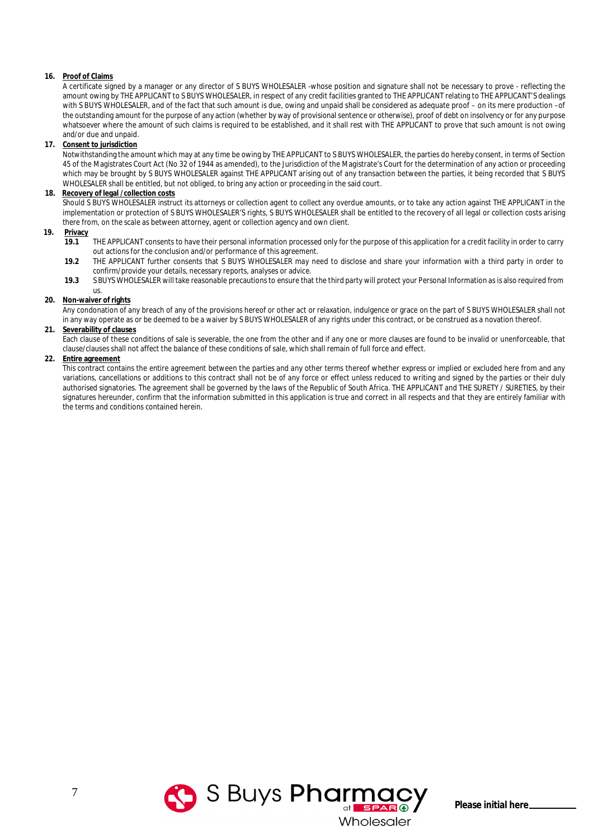# **16. Proof of Claims**

A certificate signed by a manager or any director of S BUYS WHOLESALER -whose position and signature shall not be necessary to prove - reflecting the amount owing by THE APPLICANT to S BUYS WHOLESALER, in respect of any credit facilities granted to THE APPLICANT relating to THE APPLICANT'S dealings with S BUYS WHOLESALER, and of the fact that such amount is due, owing and unpaid shall be considered as adequate proof – on its mere production –of the outstanding amount for the purpose of any action (whether by way of provisional sentence or otherwise), proof of debt on insolvency or for any purpose whatsoever where the amount of such claims is required to be established, and it shall rest with THE APPLICANT to prove that such amount is not owing and/or due and unpaid.

## **17. Consent to jurisdiction**

Notwithstanding the amount which may at any time be owing by THE APPLICANT to S BUYS WHOLESALER, the parties do hereby consent, in terms of Section 45 of the Magistrates Court Act (No 32 of 1944 as amended), to the Jurisdiction of the Magistrate's Court for the determination of any action or proceeding which may be brought by S BUYS WHOLESALER against THE APPLICANT arising out of any transaction between the parties, it being recorded that S BUYS WHOLESALER shall be entitled, but not obliged, to bring any action or proceeding in the said court.

## **18. Recovery of legal /collection costs**

Should S BUYS WHOLESALER instruct its attorneys or collection agent to collect any overdue amounts, or to take any action against THE APPLICANT in the implementation or protection of S BUYS WHOLESALER'S rights, S BUYS WHOLESALER shall be entitled to the recovery of all legal or collection costs arising there from, on the scale as between attorney, agent or collection agency and own client.

# **19. Privacy**

- **19.1** THE APPLICANT consents to have their personal information processed only for the purpose of this application for a credit facility in order to carry out actions for the conclusion and/or performance of this agreement.
- **19.2** THE APPLICANT further consents that S BUYS WHOLESALER may need to disclose and share your information with a third party in order to confirm/provide your details, necessary reports, analyses or advice.
- **19.3** S BUYS WHOLESALER will take reasonable precautions to ensure that the third party will protect your Personal Information as is also required from us.

## **20. Non-waiver of rights**

Any condonation of any breach of any of the provisions hereof or other act or relaxation, indulgence or grace on the part of S BUYS WHOLESALER shall not in any way operate as or be deemed to be a waiver by S BUYS WHOLESALER of any rights under this contract, or be construed as a novation thereof.

#### **21. Severability of clauses**

Each clause of these conditions of sale is severable, the one from the other and if any one or more clauses are found to be invalid or unenforceable, that clause/clauses shall not affect the balance of these conditions of sale, which shall remain of full force and effect.

#### **22. Entire agreement**

This contract contains the entire agreement between the parties and any other terms thereof whether express or implied or excluded here from and any variations, cancellations or additions to this contract shall not be of any force or effect unless reduced to writing and signed by the parties or their duly authorised signatories. The agreement shall be governed by the laws of the Republic of South Africa. THE APPLICANT and THE SURETY / SURETIES, by their signatures hereunder, confirm that the information submitted in this application is true and correct in all respects and that they are entirely familiar with the terms and conditions contained herein.

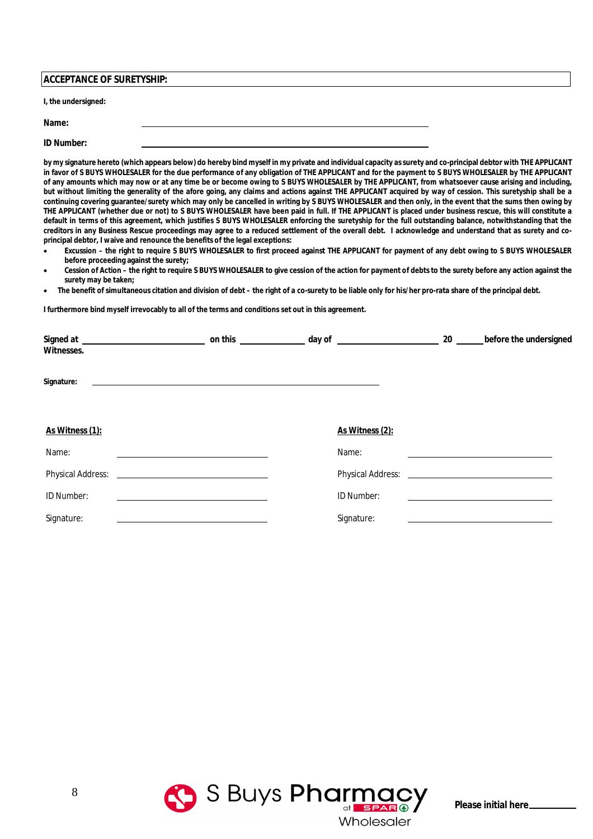#### **ACCEPTANCE OF SURETYSHIP:**

**I, the undersigned:**

| Name: |  |  |
|-------|--|--|
|       |  |  |

**ID Number:**

**by my signature hereto (which appears below) do hereby bind myself in my private and individual capacity as surety and co-principal debtor with THE APPLICANT in favor of S BUYS WHOLESALER for the due performance of any obligation of THE APPLICANT and for the payment to S BUYS WHOLESALER by THE APPLICANT of any amounts which may now or at any time be or become owing to S BUYS WHOLESALER by THE APPLICANT, from whatsoever cause arising and including, but without limiting the generality of the afore going, any claims and actions against THE APPLICANT acquired by way of cession. This suretyship shall be a continuing covering guarantee/surety which may only be cancelled in writing by S BUYS WHOLESALER and then only, in the event that the sums then owing by THE APPLICANT (whether due or not) to S BUYS WHOLESALER have been paid in full. If THE APPLICANT is placed under business rescue, this will constitute a default in terms of this agreement, which justifies S BUYS WHOLESALER enforcing the suretyship for the full outstanding balance, notwithstanding that the creditors in any Business Rescue proceedings may agree to a reduced settlement of the overall debt. I acknowledge and understand that as surety and coprincipal debtor, I waive and renounce the benefits of the legal exceptions:**

- **Excussion – the right to require S BUYS WHOLESALER to first proceed against THE APPLICANT for payment of any debt owing to S BUYS WHOLESALER before proceeding against the surety;**
- **Cession of Action – the right to require S BUYS WHOLESALER to give cession of the action for payment of debts to the surety before any action against the surety may be taken;**
- **The benefit of simultaneous citation and division of debt – the right of a co-surety to be liable only for his/her pro-rata share of the principal debt.**

**I furthermore bind myself irrevocably to all of the terms and conditions set out in this agreement.**

| Signed at the control of the control of this control of the control of the control of the control of the control of the control of the control of the control of the control of the control of the control of the control of t<br>Witnesses. |                 | $20$ $\qquad$ | before the undersigned |
|----------------------------------------------------------------------------------------------------------------------------------------------------------------------------------------------------------------------------------------------|-----------------|---------------|------------------------|
| Signature:                                                                                                                                                                                                                                   |                 |               |                        |
| As Witness (1):                                                                                                                                                                                                                              | As Witness (2): |               |                        |
| Name:                                                                                                                                                                                                                                        | Name:           |               |                        |
|                                                                                                                                                                                                                                              |                 |               |                        |
| ID Number:                                                                                                                                                                                                                                   | ID Number:      |               |                        |
| Signature:                                                                                                                                                                                                                                   | Signature:      |               |                        |